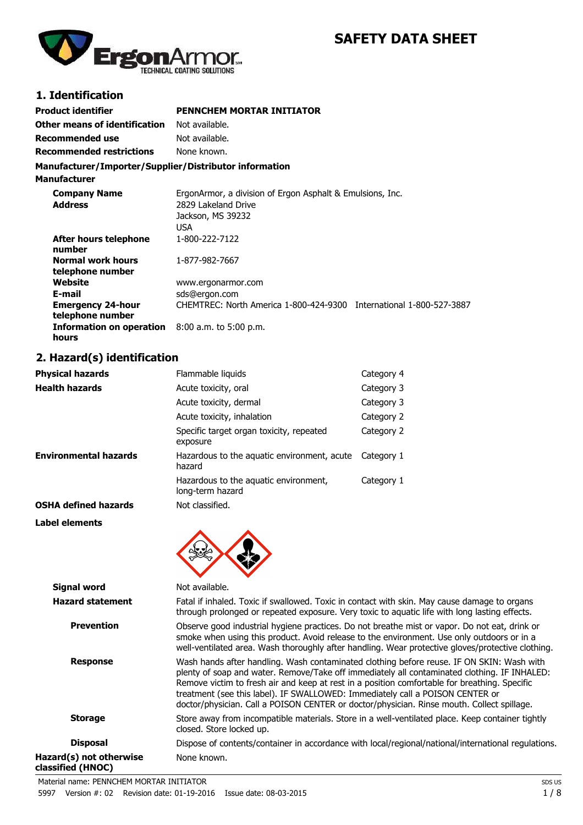# **SAFETY DATA SHEET**



# **1. Identification**

| <b>Product identifier</b>                              | <b>PENNCHEM MORTAR INITIATOR</b>                                                                             |
|--------------------------------------------------------|--------------------------------------------------------------------------------------------------------------|
| Other means of identification                          | Not available.                                                                                               |
| Recommended use                                        | Not available.                                                                                               |
| <b>Recommended restrictions</b>                        | None known.                                                                                                  |
| Manufacturer/Importer/Supplier/Distributor information |                                                                                                              |
| <b>Manufacturer</b>                                    |                                                                                                              |
| <b>Company Name</b><br><b>Address</b>                  | ErgonArmor, a division of Ergon Asphalt & Emulsions, Inc.<br>2829 Lakeland Drive<br>Jackson, MS 39232<br>USA |
| After hours telephone<br>number                        | 1-800-222-7122                                                                                               |
| <b>Normal work hours</b><br>telephone number           | 1-877-982-7667                                                                                               |
| Website                                                | www.ergonarmor.com                                                                                           |

| Website                                                    | www.ergonarmor.com                     |                              |
|------------------------------------------------------------|----------------------------------------|------------------------------|
| E-mail                                                     | sds@ergon.com                          |                              |
| <b>Emergency 24-hour</b>                                   | CHEMTREC: North America 1-800-424-9300 | International 1-800-527-3887 |
| telephone number                                           |                                        |                              |
| <b>Information on operation</b> $8:00$ a.m. to $5:00$ p.m. |                                        |                              |
| hours                                                      |                                        |                              |

# **2. Hazard(s) identification**

| <b>Physical hazards</b>      | Flammable liquids                                         | Category 4 |
|------------------------------|-----------------------------------------------------------|------------|
| <b>Health hazards</b>        | Acute toxicity, oral                                      | Category 3 |
|                              | Acute toxicity, dermal                                    | Category 3 |
|                              | Acute toxicity, inhalation                                | Category 2 |
|                              | Specific target organ toxicity, repeated<br>exposure      | Category 2 |
| <b>Environmental hazards</b> | Hazardous to the aguatic environment, acute<br>hazard     | Category 1 |
|                              | Hazardous to the aguatic environment,<br>long-term hazard | Category 1 |
| <b>OSHA defined hazards</b>  | Not classified.                                           |            |
| I ahal alamante              |                                                           |            |

**Label elements**



| <b>Signal word</b>                           | Not available.                                                                                                                                                                                                                                                                                                                                                                                                                                                            |  |  |
|----------------------------------------------|---------------------------------------------------------------------------------------------------------------------------------------------------------------------------------------------------------------------------------------------------------------------------------------------------------------------------------------------------------------------------------------------------------------------------------------------------------------------------|--|--|
| <b>Hazard statement</b>                      | Fatal if inhaled. Toxic if swallowed. Toxic in contact with skin. May cause damage to organs<br>through prolonged or repeated exposure. Very toxic to aquatic life with long lasting effects.                                                                                                                                                                                                                                                                             |  |  |
| <b>Prevention</b>                            | Observe good industrial hygiene practices. Do not breathe mist or vapor. Do not eat, drink or<br>smoke when using this product. Avoid release to the environment. Use only outdoors or in a<br>well-ventilated area. Wash thoroughly after handling. Wear protective gloves/protective clothing.                                                                                                                                                                          |  |  |
| <b>Response</b>                              | Wash hands after handling. Wash contaminated clothing before reuse. IF ON SKIN: Wash with<br>plenty of soap and water. Remove/Take off immediately all contaminated clothing. IF INHALED:<br>Remove victim to fresh air and keep at rest in a position comfortable for breathing. Specific<br>treatment (see this label). IF SWALLOWED: Immediately call a POISON CENTER or<br>doctor/physician. Call a POISON CENTER or doctor/physician. Rinse mouth. Collect spillage. |  |  |
| <b>Storage</b>                               | Store away from incompatible materials. Store in a well-ventilated place. Keep container tightly<br>closed. Store locked up.                                                                                                                                                                                                                                                                                                                                              |  |  |
| <b>Disposal</b>                              | Dispose of contents/container in accordance with local/regional/national/international regulations.                                                                                                                                                                                                                                                                                                                                                                       |  |  |
| Hazard(s) not otherwise<br>classified (HNOC) | None known.                                                                                                                                                                                                                                                                                                                                                                                                                                                               |  |  |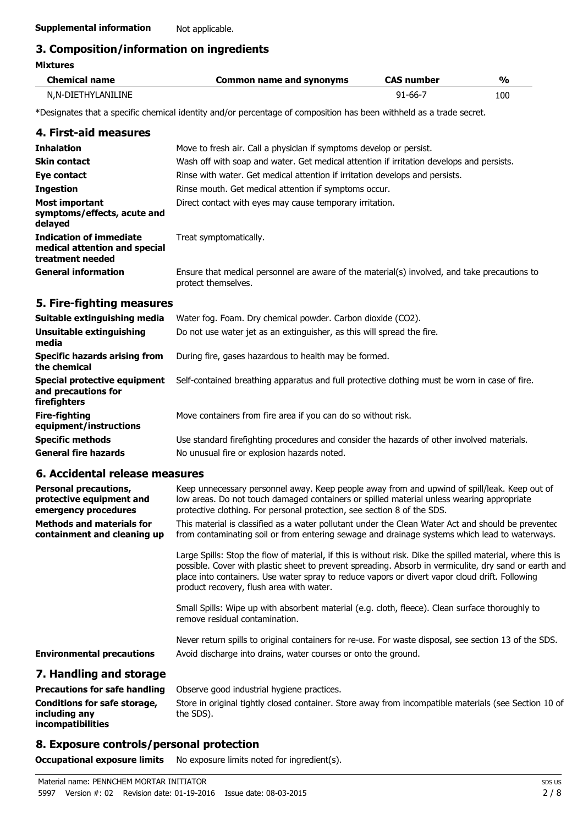# **3. Composition/information on ingredients**

| <b>Mixtures</b>                                                                     |                                                                                                                                                                                                                                                                                                                                                                   |                   |               |  |  |
|-------------------------------------------------------------------------------------|-------------------------------------------------------------------------------------------------------------------------------------------------------------------------------------------------------------------------------------------------------------------------------------------------------------------------------------------------------------------|-------------------|---------------|--|--|
| <b>Chemical name</b>                                                                | <b>Common name and synonyms</b>                                                                                                                                                                                                                                                                                                                                   | <b>CAS number</b> | $\frac{0}{0}$ |  |  |
| N,N-DIETHYLANILINE                                                                  |                                                                                                                                                                                                                                                                                                                                                                   | $91 - 66 - 7$     | 100           |  |  |
|                                                                                     | *Designates that a specific chemical identity and/or percentage of composition has been withheld as a trade secret.                                                                                                                                                                                                                                               |                   |               |  |  |
| 4. First-aid measures                                                               |                                                                                                                                                                                                                                                                                                                                                                   |                   |               |  |  |
| <b>Inhalation</b>                                                                   | Move to fresh air. Call a physician if symptoms develop or persist.                                                                                                                                                                                                                                                                                               |                   |               |  |  |
| Skin contact                                                                        | Wash off with soap and water. Get medical attention if irritation develops and persists.                                                                                                                                                                                                                                                                          |                   |               |  |  |
| Eye contact                                                                         | Rinse with water. Get medical attention if irritation develops and persists.                                                                                                                                                                                                                                                                                      |                   |               |  |  |
| <b>Ingestion</b>                                                                    | Rinse mouth. Get medical attention if symptoms occur.                                                                                                                                                                                                                                                                                                             |                   |               |  |  |
| <b>Most important</b><br>symptoms/effects, acute and<br>delayed                     | Direct contact with eyes may cause temporary irritation.                                                                                                                                                                                                                                                                                                          |                   |               |  |  |
| <b>Indication of immediate</b><br>medical attention and special<br>treatment needed | Treat symptomatically.                                                                                                                                                                                                                                                                                                                                            |                   |               |  |  |
| <b>General information</b>                                                          | Ensure that medical personnel are aware of the material(s) involved, and take precautions to<br>protect themselves.                                                                                                                                                                                                                                               |                   |               |  |  |
| 5. Fire-fighting measures                                                           |                                                                                                                                                                                                                                                                                                                                                                   |                   |               |  |  |
| Suitable extinguishing media                                                        | Water fog. Foam. Dry chemical powder. Carbon dioxide (CO2).                                                                                                                                                                                                                                                                                                       |                   |               |  |  |
| <b>Unsuitable extinguishing</b><br>media                                            | Do not use water jet as an extinguisher, as this will spread the fire.                                                                                                                                                                                                                                                                                            |                   |               |  |  |
| <b>Specific hazards arising from</b><br>the chemical                                | During fire, gases hazardous to health may be formed.                                                                                                                                                                                                                                                                                                             |                   |               |  |  |
| Special protective equipment<br>and precautions for<br>firefighters                 | Self-contained breathing apparatus and full protective clothing must be worn in case of fire.                                                                                                                                                                                                                                                                     |                   |               |  |  |
| <b>Fire-fighting</b><br>equipment/instructions                                      | Move containers from fire area if you can do so without risk.                                                                                                                                                                                                                                                                                                     |                   |               |  |  |
| <b>Specific methods</b>                                                             | Use standard firefighting procedures and consider the hazards of other involved materials.                                                                                                                                                                                                                                                                        |                   |               |  |  |
| <b>General fire hazards</b>                                                         | No unusual fire or explosion hazards noted.                                                                                                                                                                                                                                                                                                                       |                   |               |  |  |
| 6. Accidental release measures                                                      |                                                                                                                                                                                                                                                                                                                                                                   |                   |               |  |  |
| <b>Personal precautions,</b><br>protective equipment and<br>emergency procedures    | Keep unnecessary personnel away. Keep people away from and upwind of spill/leak. Keep out of<br>low areas. Do not touch damaged containers or spilled material unless wearing appropriate<br>protective clothing. For personal protection, see section 8 of the SDS.                                                                                              |                   |               |  |  |
| <b>Methods and materials for</b><br>containment and cleaning up                     | This material is classified as a water pollutant under the Clean Water Act and should be prevented<br>from contaminating soil or from entering sewage and drainage systems which lead to waterways.                                                                                                                                                               |                   |               |  |  |
|                                                                                     | Large Spills: Stop the flow of material, if this is without risk. Dike the spilled material, where this is<br>possible. Cover with plastic sheet to prevent spreading. Absorb in vermiculite, dry sand or earth and<br>place into containers. Use water spray to reduce vapors or divert vapor cloud drift. Following<br>product recovery, flush area with water. |                   |               |  |  |
|                                                                                     | Small Spills: Wipe up with absorbent material (e.g. cloth, fleece). Clean surface thoroughly to<br>remove residual contamination.                                                                                                                                                                                                                                 |                   |               |  |  |

Never return spills to original containers for re-use. For waste disposal, see section 13 of the SDS. **Environmental precautions** Avoid discharge into drains, water courses or onto the ground.

### **7. Handling and storage**

**Precautions for safe handling** Observe good industrial hygiene practices. **Conditions for safe storage, including any incompatibilities** Store in original tightly closed container. Store away from incompatible materials (see Section 10 of the SDS).

# **8. Exposure controls/personal protection**

**Occupational exposure limits** No exposure limits noted for ingredient(s).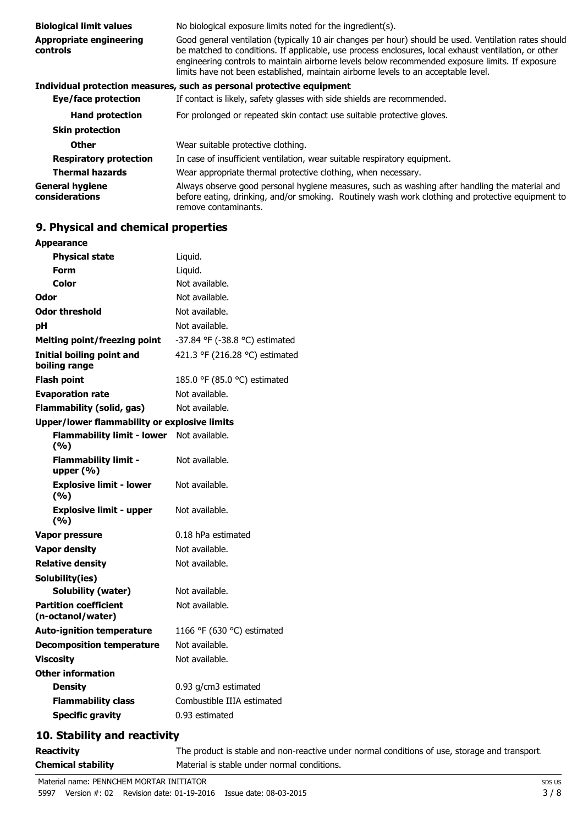| <b>Biological limit values</b>             | No biological exposure limits noted for the ingredient(s).                                                                                                                                                                                                                                                                                                                                             |  |  |
|--------------------------------------------|--------------------------------------------------------------------------------------------------------------------------------------------------------------------------------------------------------------------------------------------------------------------------------------------------------------------------------------------------------------------------------------------------------|--|--|
| <b>Appropriate engineering</b><br>controls | Good general ventilation (typically 10 air changes per hour) should be used. Ventilation rates should<br>be matched to conditions. If applicable, use process enclosures, local exhaust ventilation, or other<br>engineering controls to maintain airborne levels below recommended exposure limits. If exposure<br>limits have not been established, maintain airborne levels to an acceptable level. |  |  |
|                                            | Individual protection measures, such as personal protective equipment                                                                                                                                                                                                                                                                                                                                  |  |  |
| Eye/face protection                        | If contact is likely, safety glasses with side shields are recommended.                                                                                                                                                                                                                                                                                                                                |  |  |
| <b>Hand protection</b>                     | For prolonged or repeated skin contact use suitable protective gloves.                                                                                                                                                                                                                                                                                                                                 |  |  |
| <b>Skin protection</b>                     |                                                                                                                                                                                                                                                                                                                                                                                                        |  |  |
| <b>Other</b>                               | Wear suitable protective clothing.                                                                                                                                                                                                                                                                                                                                                                     |  |  |
| <b>Respiratory protection</b>              | In case of insufficient ventilation, wear suitable respiratory equipment.                                                                                                                                                                                                                                                                                                                              |  |  |
| <b>Thermal hazards</b>                     | Wear appropriate thermal protective clothing, when necessary.                                                                                                                                                                                                                                                                                                                                          |  |  |
| <b>General hygiene</b><br>considerations   | Always observe good personal hygiene measures, such as washing after handling the material and<br>before eating, drinking, and/or smoking. Routinely wash work clothing and protective equipment to<br>remove contaminants.                                                                                                                                                                            |  |  |

# **9. Physical and chemical properties**

| <b>Appearance</b>                                   |                                |  |
|-----------------------------------------------------|--------------------------------|--|
| <b>Physical state</b>                               | Liquid.                        |  |
| Form                                                | Liquid.                        |  |
| Color                                               | Not available.                 |  |
| Odor                                                | Not available.                 |  |
| Odor threshold                                      | Not available.                 |  |
| рH                                                  | Not available.                 |  |
| Melting point/freezing point                        | -37.84 °F (-38.8 °C) estimated |  |
| <b>Initial boiling point and</b><br>boiling range   | 421.3 °F (216.28 °C) estimated |  |
| <b>Flash point</b>                                  | 185.0 °F (85.0 °C) estimated   |  |
| <b>Evaporation rate</b>                             | Not available.                 |  |
| <b>Flammability (solid, gas)</b>                    | Not available.                 |  |
| <b>Upper/lower flammability or explosive limits</b> |                                |  |
| <b>Flammability limit - lower</b><br>(9/6)          | Not available.                 |  |
| <b>Flammability limit -</b><br>upper (%)            | Not available.                 |  |
| <b>Explosive limit - lower</b><br>(%)               | Not available.                 |  |
| <b>Explosive limit - upper</b><br>(%)               | Not available.                 |  |
| Vapor pressure                                      | 0.18 hPa estimated             |  |
| <b>Vapor density</b>                                | Not available.                 |  |
| <b>Relative density</b>                             | Not available.                 |  |
| Solubility(ies)                                     |                                |  |
| <b>Solubility (water)</b>                           | Not available.                 |  |
| <b>Partition coefficient</b><br>(n-octanol/water)   | Not available.                 |  |
| <b>Auto-ignition temperature</b>                    | 1166 °F (630 °C) estimated     |  |
| <b>Decomposition temperature</b>                    | Not available.                 |  |
| <b>Viscosity</b>                                    | Not available.                 |  |
| <b>Other information</b>                            |                                |  |
| <b>Density</b>                                      | $0.93$ g/cm3 estimated         |  |
| <b>Flammability class</b>                           | Combustible IIIA estimated     |  |
| <b>Specific gravity</b>                             | 0.93 estimated                 |  |
|                                                     |                                |  |

# **10. Stability and reactivity**

**Reactivity** The product is stable and non-reactive under normal conditions of use, storage and transport. **Chemical stability** Material is stable under normal conditions.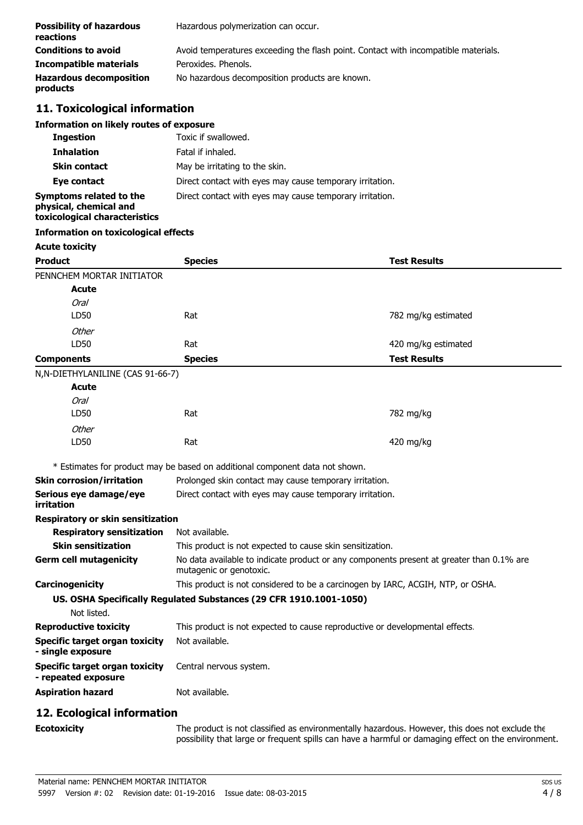| <b>Possibility of hazardous</b><br>reactions | Hazardous polymerization can occur.                                                |
|----------------------------------------------|------------------------------------------------------------------------------------|
| <b>Conditions to avoid</b>                   | Avoid temperatures exceeding the flash point. Contact with incompatible materials. |
| Incompatible materials                       | Peroxides, Phenols,                                                                |
| <b>Hazardous decomposition</b><br>products   | No hazardous decomposition products are known.                                     |

# **11. Toxicological information**

#### **Information on likely routes of exposure**

| <b>Ingestion</b>                                                                   | Toxic if swallowed.                                      |
|------------------------------------------------------------------------------------|----------------------------------------------------------|
| <b>Inhalation</b>                                                                  | Fatal if inhaled.                                        |
| <b>Skin contact</b>                                                                | May be irritating to the skin.                           |
| Eye contact                                                                        | Direct contact with eyes may cause temporary irritation. |
| Symptoms related to the<br>physical, chemical and<br>toxicological characteristics | Direct contact with eyes may cause temporary irritation. |

# **Information on toxicological effects**

#### **Acute toxicity**

| <b>Product</b>                    | <b>Species</b> | <b>Test Results</b> |  |
|-----------------------------------|----------------|---------------------|--|
| PENNCHEM MORTAR INITIATOR         |                |                     |  |
| <b>Acute</b>                      |                |                     |  |
| <b>Oral</b>                       |                |                     |  |
| LD50                              | Rat            | 782 mg/kg estimated |  |
| Other                             |                |                     |  |
| LD50                              | Rat            | 420 mg/kg estimated |  |
| <b>Components</b>                 | <b>Species</b> | <b>Test Results</b> |  |
| N, N-DIETHYLANILINE (CAS 91-66-7) |                |                     |  |
| <b>Acute</b>                      |                |                     |  |
| <b>Oral</b>                       |                |                     |  |
| LD50                              | Rat            | 782 mg/kg           |  |
| Other                             |                |                     |  |
| LD50                              | Rat            | 420 mg/kg           |  |

\* Estimates for product may be based on additional component data not shown.

| <b>Skin corrosion/irritation</b>                      | Prolonged skin contact may cause temporary irritation.                                                              |  |  |
|-------------------------------------------------------|---------------------------------------------------------------------------------------------------------------------|--|--|
| Serious eye damage/eye<br>irritation                  | Direct contact with eyes may cause temporary irritation.                                                            |  |  |
| Respiratory or skin sensitization                     |                                                                                                                     |  |  |
| <b>Respiratory sensitization</b>                      | Not available.                                                                                                      |  |  |
| <b>Skin sensitization</b>                             | This product is not expected to cause skin sensitization.                                                           |  |  |
| <b>Germ cell mutagenicity</b>                         | No data available to indicate product or any components present at greater than 0.1% are<br>mutagenic or genotoxic. |  |  |
| Carcinogenicity                                       | This product is not considered to be a carcinogen by IARC, ACGIH, NTP, or OSHA.                                     |  |  |
|                                                       | US. OSHA Specifically Regulated Substances (29 CFR 1910.1001-1050)                                                  |  |  |
| Not listed.                                           |                                                                                                                     |  |  |
| <b>Reproductive toxicity</b>                          | This product is not expected to cause reproductive or developmental effects.                                        |  |  |
| Specific target organ toxicity<br>- single exposure   | Not available.                                                                                                      |  |  |
| Specific target organ toxicity<br>- repeated exposure | Central nervous system.                                                                                             |  |  |
| <b>Aspiration hazard</b>                              | Not available.                                                                                                      |  |  |
| . — <i>.</i>                                          |                                                                                                                     |  |  |

# **12. Ecological information**

**Ecotoxicity** The product is not classified as environmentally hazardous. However, this does not exclude the possibility that large or frequent spills can have a harmful or damaging effect on the environment.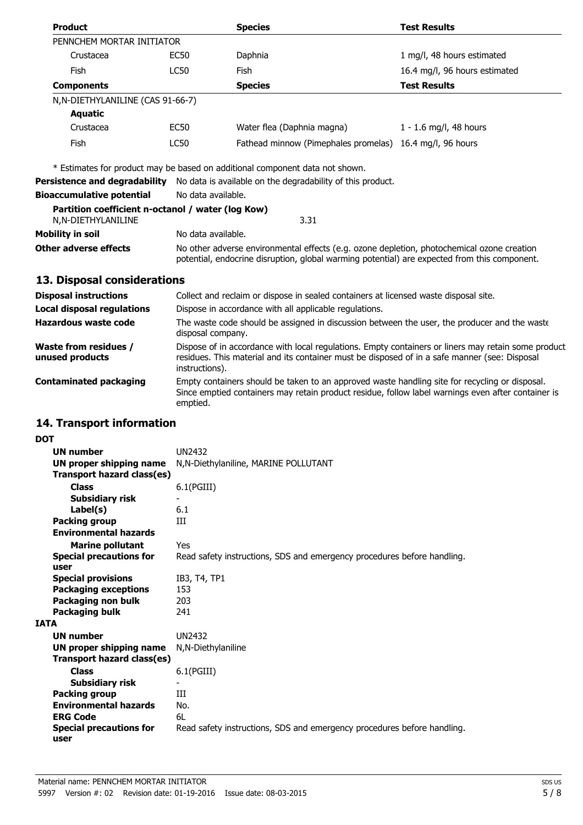| <b>Product</b>                                                          |                    | <b>Species</b>                                                               | <b>Test Results</b>           |
|-------------------------------------------------------------------------|--------------------|------------------------------------------------------------------------------|-------------------------------|
| PENNCHEM MORTAR INITIATOR                                               |                    |                                                                              |                               |
| Crustacea                                                               | EC50               | Daphnia                                                                      | 1 mg/l, 48 hours estimated    |
| Fish                                                                    | LC50               | Fish                                                                         | 16.4 mg/l, 96 hours estimated |
| <b>Components</b>                                                       |                    | <b>Species</b>                                                               | <b>Test Results</b>           |
| N, N-DIETHYLANILINE (CAS 91-66-7)                                       |                    |                                                                              |                               |
| <b>Aquatic</b>                                                          |                    |                                                                              |                               |
| Crustacea                                                               | EC50               | Water flea (Daphnia magna)                                                   | 1 - 1.6 mg/l, 48 hours        |
| Fish                                                                    | LC50               | Fathead minnow (Pimephales promelas) 16.4 mg/l, 96 hours                     |                               |
|                                                                         |                    | * Estimates for product may be based on additional component data not shown. |                               |
| Persistence and degradability                                           |                    | No data is available on the degradability of this product.                   |                               |
| <b>Bioaccumulative potential</b>                                        | No data available. |                                                                              |                               |
| Partition coefficient n-octanol / water (log Kow)<br>N,N-DIETHYLANILINE |                    | 3.31                                                                         |                               |

| Mobility in soil      | No data available.                                                                                                                                                                         |  |
|-----------------------|--------------------------------------------------------------------------------------------------------------------------------------------------------------------------------------------|--|
| Other adverse effects | No other adverse environmental effects (e.g. ozone depletion, photochemical ozone creation<br>potential, endocrine disruption, global warming potential) are expected from this component. |  |

# **13. Disposal considerations**

| <b>Disposal instructions</b>                    | Collect and reclaim or dispose in sealed containers at licensed waste disposal site.                                                                                                                                   |
|-------------------------------------------------|------------------------------------------------------------------------------------------------------------------------------------------------------------------------------------------------------------------------|
| <b>Local disposal regulations</b>               | Dispose in accordance with all applicable regulations.                                                                                                                                                                 |
| Hazardous waste code                            | The waste code should be assigned in discussion between the user, the producer and the waste<br>disposal company.                                                                                                      |
| <b>Waste from residues /</b><br>unused products | Dispose of in accordance with local regulations. Empty containers or liners may retain some product<br>residues. This material and its container must be disposed of in a safe manner (see: Disposal<br>instructions). |
| <b>Contaminated packaging</b>                   | Empty containers should be taken to an approved waste handling site for recycling or disposal.<br>Since emptied containers may retain product residue, follow label warnings even after container is<br>emptied.       |

# **14. Transport information**

| ٠                      |
|------------------------|
| I<br>۰.<br>I<br>×<br>v |

|             | <b>UN number</b>                  | UN2432                                                                  |
|-------------|-----------------------------------|-------------------------------------------------------------------------|
|             | UN proper shipping name           | N, N-Diethylaniline, MARINE POLLUTANT                                   |
|             | <b>Transport hazard class(es)</b> |                                                                         |
|             | <b>Class</b>                      | $6.1$ (PGIII)                                                           |
|             | <b>Subsidiary risk</b>            |                                                                         |
|             | Label(s)                          | 6.1                                                                     |
|             | Packing group                     | Ш                                                                       |
|             | <b>Environmental hazards</b>      |                                                                         |
|             | <b>Marine pollutant</b>           | Yes                                                                     |
|             | <b>Special precautions for</b>    | Read safety instructions, SDS and emergency procedures before handling. |
|             | user                              |                                                                         |
|             | <b>Special provisions</b>         | IB3, T4, TP1                                                            |
|             | <b>Packaging exceptions</b>       | 153                                                                     |
|             | Packaging non bulk                | 203                                                                     |
|             | Packaging bulk                    | 241                                                                     |
| <b>IATA</b> |                                   |                                                                         |
|             | <b>UN number</b>                  | <b>UN2432</b>                                                           |
|             | <b>UN proper shipping name</b>    | N, N-Diethylaniline                                                     |
|             | Transport hazard class(es)        |                                                                         |
|             | <b>Class</b>                      | $6.1$ (PGIII)                                                           |
|             | Subsidiary risk                   |                                                                         |
|             | Packing group                     | Ш                                                                       |
|             | <b>Environmental hazards</b>      | No.                                                                     |
|             | <b>ERG Code</b>                   | 6I                                                                      |
|             | <b>Special precautions for</b>    | Read safety instructions, SDS and emergency procedures before handling. |
|             | user                              |                                                                         |
|             |                                   |                                                                         |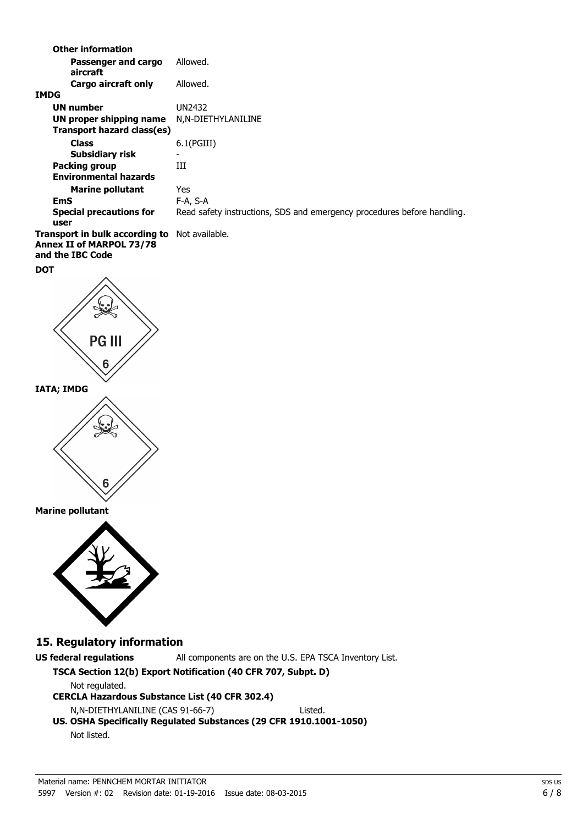|                   | <b>Other information</b>                                                              |                                                                         |
|-------------------|---------------------------------------------------------------------------------------|-------------------------------------------------------------------------|
|                   | Passenger and cargo<br>aircraft                                                       | Allowed.                                                                |
| <b>IMDG</b>       | Cargo aircraft only                                                                   | Allowed.                                                                |
|                   | <b>UN number</b><br><b>UN proper shipping name</b>                                    | <b>UN2432</b><br>N,N-DIETHYLANILINE                                     |
|                   | <b>Transport hazard class(es)</b><br><b>Class</b>                                     | 6.1(PGIII)                                                              |
|                   | <b>Subsidiary risk</b>                                                                |                                                                         |
|                   | <b>Packing group</b><br><b>Environmental hazards</b>                                  | III                                                                     |
|                   | <b>Marine pollutant</b>                                                               | Yes                                                                     |
| <b>EmS</b>        |                                                                                       | F-A, S-A                                                                |
| user              | <b>Special precautions for</b>                                                        | Read safety instructions, SDS and emergency procedures before handling. |
|                   | Transport in bulk according to<br><b>Annex II of MARPOL 73/78</b><br>and the IBC Code | Not available.                                                          |
| <b>DOT</b>        |                                                                                       |                                                                         |
|                   | <b>PG III</b><br>6                                                                    |                                                                         |
| <b>IATA; IMDG</b> |                                                                                       |                                                                         |
|                   | b                                                                                     |                                                                         |
|                   | <b>Marine pollutant</b>                                                               |                                                                         |
|                   |                                                                                       |                                                                         |
|                   | 15. Regulatory information                                                            |                                                                         |
|                   | <b>US federal regulations</b>                                                         | All components are on the U.S. EPA TSCA Inventory List.                 |
|                   |                                                                                       | TSCA Section 12(b) Export Notification (40 CFR 707, Subpt. D)           |
|                   | Not regulated.<br><b>CERCLA Hazardous Substance List (40 CFR 302.4)</b>               |                                                                         |
|                   | N,N-DIETHYLANILINE (CAS 91-66-7)                                                      | Listed.                                                                 |
|                   |                                                                                       | US. OSHA Specifically Regulated Substances (29 CFR 1910.1001-1050)      |
|                   | Not listed.                                                                           |                                                                         |
|                   |                                                                                       |                                                                         |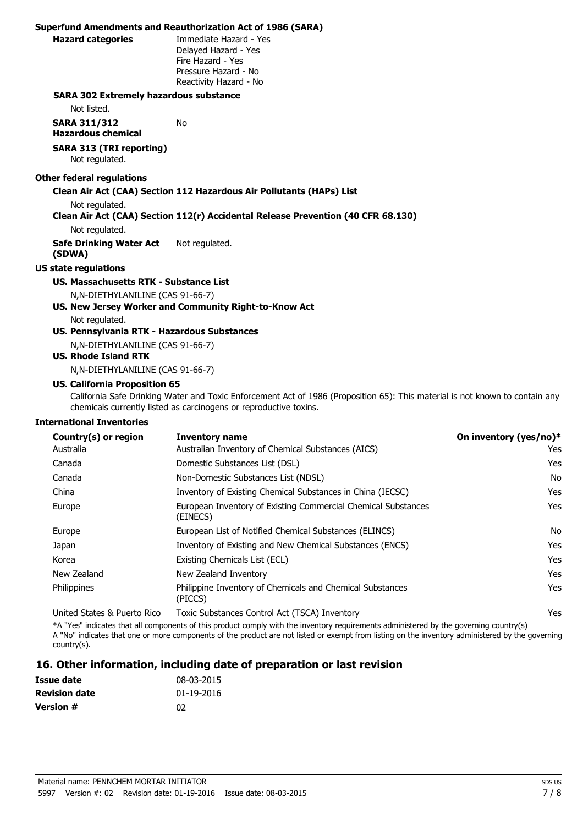#### **Superfund Amendments and Reauthorization Act of 1986 (SARA)**

**Hazard categories** Immediate Hazard - Yes Delayed Hazard - Yes Fire Hazard - Yes Pressure Hazard - No Reactivity Hazard - No

#### **SARA 302 Extremely hazardous substance**

Not listed.

**SARA 311/312 Hazardous chemical** No

# **SARA 313 (TRI reporting)**

Not regulated.

#### **Other federal regulations**

#### **Clean Air Act (CAA) Section 112 Hazardous Air Pollutants (HAPs) List**

Not regulated.

#### **Clean Air Act (CAA) Section 112(r) Accidental Release Prevention (40 CFR 68.130)**

Not regulated.

**Safe Drinking Water Act (SDWA)** Not regulated.

#### **US state regulations**

# **US. Massachusetts RTK - Substance List**

N,N-DIETHYLANILINE (CAS 91-66-7)

**US. New Jersey Worker and Community Right-to-Know Act** Not regulated.

# **US. Pennsylvania RTK - Hazardous Substances**

N,N-DIETHYLANILINE (CAS 91-66-7)

## **US. Rhode Island RTK**

N,N-DIETHYLANILINE (CAS 91-66-7)

#### **US. California Proposition 65**

California Safe Drinking Water and Toxic Enforcement Act of 1986 (Proposition 65): This material is not known to contain any chemicals currently listed as carcinogens or reproductive toxins.

#### **International Inventories**

| Country(s) or region        | <b>Inventory name</b>                                                     | On inventory (yes/no)* |
|-----------------------------|---------------------------------------------------------------------------|------------------------|
| Australia                   | Australian Inventory of Chemical Substances (AICS)                        | Yes                    |
| Canada                      | Domestic Substances List (DSL)                                            | Yes                    |
| Canada                      | Non-Domestic Substances List (NDSL)                                       | No                     |
| China                       | Inventory of Existing Chemical Substances in China (IECSC)                | Yes                    |
| Europe                      | European Inventory of Existing Commercial Chemical Substances<br>(EINECS) | Yes                    |
| Europe                      | European List of Notified Chemical Substances (ELINCS)                    | No                     |
| Japan                       | Inventory of Existing and New Chemical Substances (ENCS)                  | Yes                    |
| Korea                       | Existing Chemicals List (ECL)                                             | Yes                    |
| New Zealand                 | New Zealand Inventory                                                     | Yes                    |
| Philippines                 | Philippine Inventory of Chemicals and Chemical Substances<br>(PICCS)      | Yes                    |
| United States & Puerto Rico | Toxic Substances Control Act (TSCA) Inventory                             | Yes                    |

\*A "Yes" indicates that all components of this product comply with the inventory requirements administered by the governing country(s) A "No" indicates that one or more components of the product are not listed or exempt from listing on the inventory administered by the governing country(s).

# **16. Other information, including date of preparation or last revision**

| Issue date           | 08-03-2015 |
|----------------------|------------|
| <b>Revision date</b> | 01-19-2016 |
| <b>Version #</b>     | በ2         |